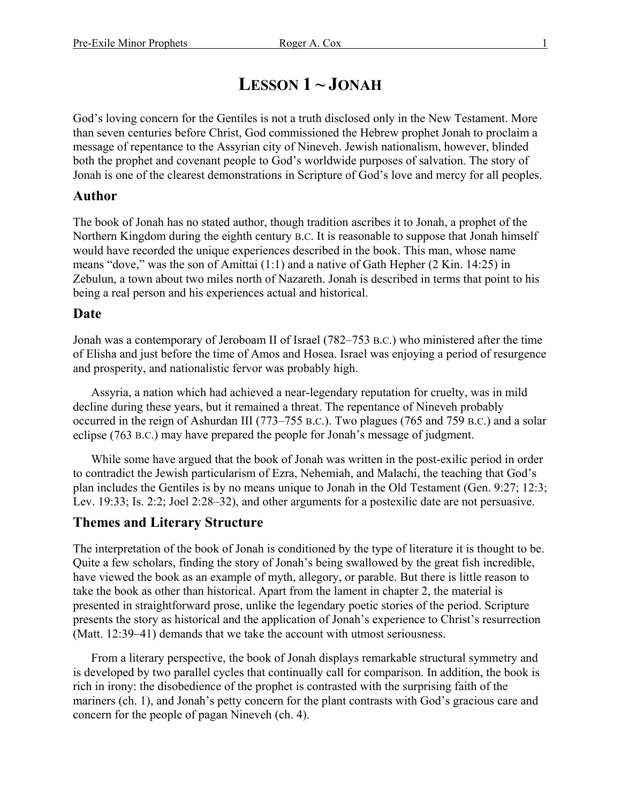# **LESSON 1**  $\sim$  **JONAH**

God's loving concern for the Gentiles is not a truth disclosed only in the New Testament. More than seven centuries before Christ, God commissioned the Hebrew prophet Jonah to proclaim a message of repentance to the Assyrian city of Nineveh. Jewish nationalism, however, blinded both the prophet and covenant people to God's worldwide purposes of salvation. The story of Jonah is one of the clearest demonstrations in Scripture of God's love and mercy for all peoples.

### **Author**

The book of Jonah has no stated author, though tradition ascribes it to Jonah, a prophet of the Northern Kingdom during the eighth century B.C. It is reasonable to suppose that Jonah himself would have recorded the unique experiences described in the book. This man, whose name means "dove," was the son of Amittai (1:1) and a native of Gath Hepher (2 Kin. 14:25) in Zebulun, a town about two miles north of Nazareth. Jonah is described in terms that point to his being a real person and his experiences actual and historical.

#### **Date**

Jonah was a contemporary of Jeroboam II of Israel (782–753 B.C.) who ministered after the time of Elisha and just before the time of Amos and Hosea. Israel was enjoying a period of resurgence and prosperity, and nationalistic fervor was probably high.

Assyria, a nation which had achieved a near-legendary reputation for cruelty, was in mild decline during these years, but it remained a threat. The repentance of Nineveh probably occurred in the reign of Ashurdan III (773–755 B.C.). Two plagues (765 and 759 B.C.) and a solar eclipse (763 B.C.) may have prepared the people for Jonah's message of judgment.

While some have argued that the book of Jonah was written in the post-exilic period in order to contradict the Jewish particularism of Ezra, Nehemiah, and Malachi, the teaching that God's plan includes the Gentiles is by no means unique to Jonah in the Old Testament (Gen. 9:27; 12:3; Lev. 19:33; Is. 2:2; Joel 2:28–32), and other arguments for a postexilic date are not persuasive.

## **Themes and Literary Structure**

The interpretation of the book of Jonah is conditioned by the type of literature it is thought to be. Quite a few scholars, finding the story of Jonah's being swallowed by the great fish incredible, have viewed the book as an example of myth, allegory, or parable. But there is little reason to take the book as other than historical. Apart from the lament in chapter 2, the material is presented in straightforward prose, unlike the legendary poetic stories of the period. Scripture presents the story as historical and the application of Jonah's experience to Christ's resurrection (Matt. 12:39–41) demands that we take the account with utmost seriousness.

From a literary perspective, the book of Jonah displays remarkable structural symmetry and is developed by two parallel cycles that continually call for comparison. In addition, the book is rich in irony: the disobedience of the prophet is contrasted with the surprising faith of the mariners (ch. 1), and Jonah's petty concern for the plant contrasts with God's gracious care and concern for the people of pagan Nineveh (ch. 4).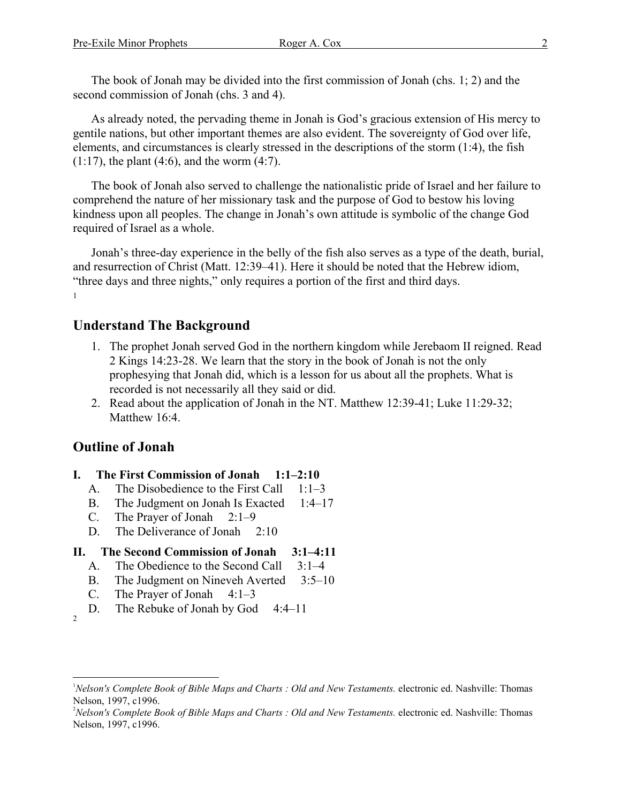The book of Jonah may be divided into the first commission of Jonah (chs. 1; 2) and the second commission of Jonah (chs. 3 and 4).

As already noted, the pervading theme in Jonah is God's gracious extension of His mercy to gentile nations, but other important themes are also evident. The sovereignty of God over life, elements, and circumstances is clearly stressed in the descriptions of the storm (1:4), the fish  $(1:17)$ , the plant  $(4:6)$ , and the worm  $(4:7)$ .

The book of Jonah also served to challenge the nationalistic pride of Israel and her failure to comprehend the nature of her missionary task and the purpose of God to bestow his loving kindness upon all peoples. The change in Jonah's own attitude is symbolic of the change God required of Israel as a whole.

Jonah's three-day experience in the belly of the fish also serves as a type of the death, burial, and resurrection of Christ (Matt. 12:39–41). Here it should be noted that the Hebrew idiom, "three days and three nights," only requires a portion of the first and third days. 1

#### **Understand The Background**

- 1. The prophet Jonah served God in the northern kingdom while Jerebaom II reigned. Read 2 Kings 14:23-28. We learn that the story in the book of Jonah is not the only prophesying that Jonah did, which is a lesson for us about all the prophets. What is recorded is not necessarily all they said or did.
- 2. Read about the application of Jonah in the NT. Matthew 12:39-41; Luke 11:29-32; Matthew 16:4.

## **Outline of Jonah**

- **I. The First Commission of Jonah 1:1–2:10**
	- A. The Disobedience to the First Call 1:1–3
	- B. The Judgment on Jonah Is Exacted 1:4–17
	- C. The Prayer of Jonah 2:1–9
	- D. The Deliverance of Jonah 2:10
- **II. The Second Commission of Jonah 3:1–4:11**
	- A. The Obedience to the Second Call 3:1–4
	- B. The Judgment on Nineveh Averted 3:5–10
	- C. The Prayer of Jonah  $4:1-3$
	- D. The Rebuke of Jonah by God 4:4–11

 $\overline{a}$ 

<sup>2</sup>

<sup>&</sup>lt;sup>1</sup>Nelson's Complete Book of Bible Maps and Charts : Old and New Testaments. electronic ed. Nashville: Thomas Nelson, 1997, c1996.

<sup>&</sup>lt;sup>2</sup>Nelson's Complete Book of Bible Maps and Charts : Old and New Testaments. electronic ed. Nashville: Thomas Nelson, 1997, c1996.